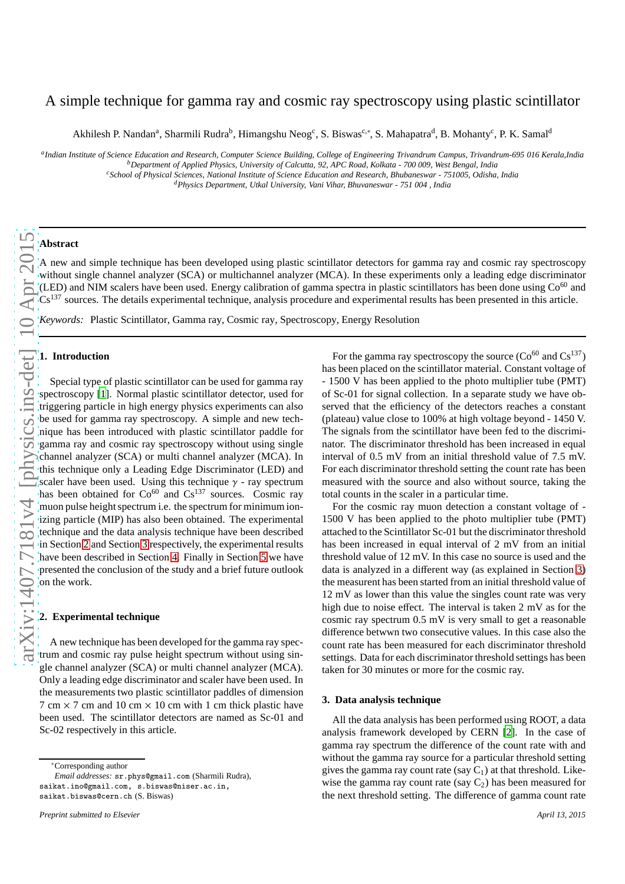# A simple technique for gamma ray and cosmic ray spectroscopy using plastic scintillator

Akhilesh P. Nandan<sup>a</sup>, Sharmili Rudra<sup>b</sup>, Himangshu Neog<sup>c</sup>, S. Biswas<sup>c,\*</sup>, S. Mahapatra<sup>d</sup>, B. Mohanty<sup>c</sup>, P. K. Samal<sup>d</sup>

*a Indian Institute of Science Education and Research, Computer Science Building, College of Engineering Trivandrum Campus, Trivandrum-695 016 Kerala,India*

*<sup>c</sup>School of Physical Sciences, National Institute of Science Education and Research, Bhubaneswar - 751005, Odisha, India*

## **Abstract**

A new and simple technique has been developed using plastic scintillator detectors for gamma ray and cosmic ray spectroscopy without single channel analyzer (SCA) or multichannel analyzer (MCA). In these experiments only a leading edge discriminator (LED) and NIM scalers have been used. Energy calibration of gamma spectra in plastic scintillators has been done using  $Co^{60}$  and Cs<sup>137</sup> sources. The details experimental technique, analysis procedure and experimental results has been presented in this article.

*Keywords:* Plastic Scintillator, Gamma ray, Cosmic ray, Spectroscopy, Energy Resolution

## **1. Introduction**

Special type of plastic scintillator can be used for gamma ray spectroscopy [\[1\]](#page-2-0). Normal plastic scintillator detector, used for triggering particle in high energy physics experiments can also be used for gamma ray spectroscopy. A simple and new technique has been introduced with plastic scintillator paddle for gamma ray and cosmic ray spectroscopy without using single channel analyzer (SCA) or multi channel analyzer (MCA). In this technique only a Leading Edge Discriminator (LED) and scaler have been used. Using this technique  $\gamma$  - ray spectrum has been obtained for  $Co^{60}$  and  $Cs^{137}$  sources. Cosmic ray muon pulse height spectrum i.e. the spectrum for minimum ionizing particle (MIP) has also been obtained. The experimental technique and the data analysis technique have been described in Section [2](#page-0-0) and Section [3](#page-0-1) respectively, the experimental results have been described in Section [4.](#page-1-0) Finally in Section [5](#page-2-1) we have presented the conclusion of the study and a brief future outlook on the work.

#### <span id="page-0-0"></span>**2. Experimental technique**

A new technique has been developed for the gamma ray spectrum and cosmic ray pulse height spectrum without using single channel analyzer (SCA) or multi channel analyzer (MCA). Only a leading edge discriminator and scaler have been used. In the measurements two plastic scintillator paddles of dimension  $7 \text{ cm} \times 7 \text{ cm}$  and  $10 \text{ cm} \times 10 \text{ cm}$  with 1 cm thick plastic have been used. The scintillator detectors are named as Sc-01 and Sc-02 respectively in this article.

*Email addresses:* sr.phys@gmail.com (Sharmili Rudra), saikat.ino@gmail.com, s.biswas@niser.ac.in, saikat.biswas@cern.ch (S. Biswas)

For the gamma ray spectroscopy the source  $(Co^{60} \text{ and } Cs^{137})$ has been placed on the scintillator material. Constant voltage of - 1500 V has been applied to the photo multiplier tube (PMT) of Sc-01 for signal collection. In a separate study we have observed that the efficiency of the detectors reaches a constant (plateau) value close to 100% at high voltage beyond - 1450 V. The signals from the scintillator have been fed to the discriminator. The discriminator threshold has been increased in equal interval of 0.5 mV from an initial threshold value of 7.5 mV. For each discriminator threshold setting the count rate has been measured with the source and also without source, taking the total counts in the scaler in a particular time.

For the cosmic ray muon detection a constant voltage of - 1500 V has been applied to the photo multiplier tube (PMT) attached to the Scintillator Sc-01 but the discriminator threshold has been increased in equal interval of 2 mV from an initial threshold value of 12 mV. In this case no source is used and the data is analyzed in a different way (as explained in Section [3\)](#page-0-1) the measurent has been started from an initial threshold value of 12 mV as lower than this value the singles count rate was very high due to noise effect. The interval is taken 2 mV as for the cosmic ray spectrum 0.5 mV is very small to get a reasonable difference betwwn two consecutive values. In this case also the count rate has been measured for each discriminator threshold settings. Data for each discriminator threshold settings has been taken for 30 minutes or more for the cosmic ray.

## <span id="page-0-1"></span>**3. Data analysis technique**

All the data analysis has been performed using ROOT, a data analysis framework developed by CERN [\[2\]](#page-2-2). In the case of gamma ray spectrum the difference of the count rate with and without the gamma ray source for a particular threshold setting gives the gamma ray count rate (say  $C_1$ ) at that threshold. Likewise the gamma ray count rate (say  $C_2$ ) has been measured for the next threshold setting. The difference of gamma count rate

*<sup>b</sup>Department of Applied Physics, University of Calcutta, 92, APC Road, Kolkata - 700 009, West Bengal, India*

*<sup>d</sup>Physics Department, Utkal University, Vani Vihar, Bhuvaneswar - 751 004 , India*

<sup>∗</sup>Corresponding author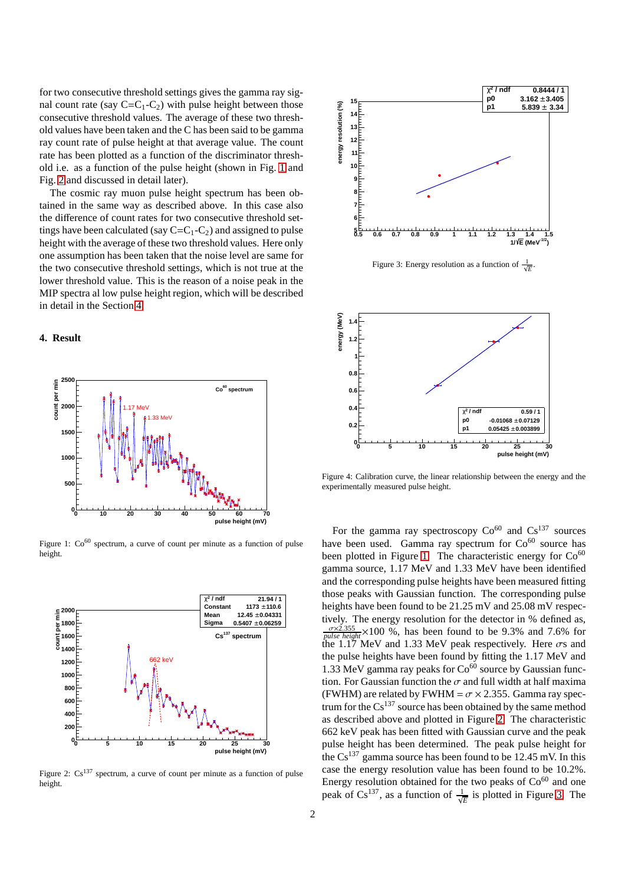for two consecutive threshold settings gives the gamma ray signal count rate (say  $C=C_1-C_2$ ) with pulse height between those consecutive threshold values. The average of these two threshold values have been taken and the C has been said to be gamma ray count rate of pulse height at that average value. The count rate has been plotted as a function of the discriminator threshold i.e. as a function of the pulse height (shown in Fig. [1](#page-1-1) and Fig. [2](#page-1-2) and discussed in detail later).

The cosmic ray muon pulse height spectrum has been obtained in the same way as described above. In this case also the difference of count rates for two consecutive threshold settings have been calculated (say  $C=C_1-C_2$ ) and assigned to pulse height with the average of these two threshold values. Here only one assumption has been taken that the noise level are same for the two consecutive threshold settings, which is not true at the lower threshold value. This is the reason of a noise peak in the MIP spectra al low pulse height region, which will be described in detail in the Section [4.](#page-1-0)

## <span id="page-1-0"></span>**4. Result**



<span id="page-1-1"></span>Figure 1:  $Co^{60}$  spectrum, a curve of count per minute as a function of pulse height.



<span id="page-1-2"></span>Figure 2:  $Cs^{137}$  spectrum, a curve of count per minute as a function of pulse height.



<span id="page-1-3"></span>Figure 3: Energy resolution as a function of  $\frac{1}{\sqrt{E}}$ .



<span id="page-1-4"></span>Figure 4: Calibration curve, the linear relationship between the energy and the experimentally measured pulse height.

For the gamma ray spectroscopy  $Co<sup>60</sup>$  and  $Cs<sup>137</sup>$  sources have been used. Gamma ray spectrum for  $Co<sup>60</sup>$  source has been plotted in Figure [1.](#page-1-1) The characteristic energy for  $Co<sup>60</sup>$ gamma source, 1.17 MeV and 1.33 MeV have been identified and the corresponding pulse heights have been measured fitting those peaks with Gaussian function. The corresponding pulse heights have been found to be 21.25 mV and 25.08 mV respectively. The energy resolution for the detector in % defined as,  $\frac{\sigma \times 2.355}{\rho \mu l s e \ height} \times 100 \%$ , has been found to be 9.3% and 7.6% for the 1.17 MeV and 1.33 MeV peak respectively. Here  $\sigma s$  and the pulse heights have been found by fitting the 1.17 MeV and 1.33 MeV gamma ray peaks for  $Co<sup>60</sup>$  source by Gaussian function. For Gaussian function the  $\sigma$  and full width at half maxima (FWHM) are related by FWHM =  $\sigma \times 2.355$ . Gamma ray spectrum for the  $Cs^{137}$  source has been obtained by the same method as described above and plotted in Figure [2.](#page-1-2) The characteristic 662 keV peak has been fitted with Gaussian curve and the peak pulse height has been determined. The peak pulse height for the  $Cs^{137}$  gamma source has been found to be 12.45 mV. In this case the energy resolution value has been found to be 10.2%. Energy resolution obtained for the two peaks of  $Co<sup>60</sup>$  and one peak of  $Cs^{137}$ , as a function of  $\frac{1}{\sqrt{E}}$  is plotted in Figure [3.](#page-1-3) The